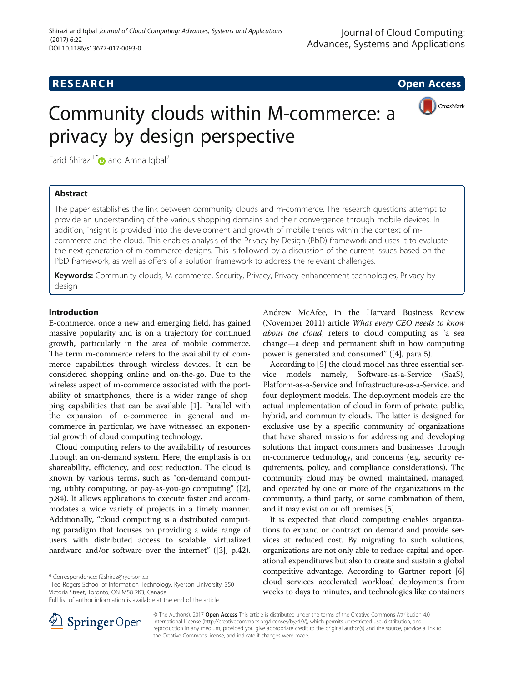## **RESEARCH CHE Open Access**



# Community clouds within M-commerce: a privacy by design perspective

Farid Shirazi<sup>1[\\*](http://orcid.org/0000-0001-5641-7268)</sup> and Amna Iqbal<sup>2</sup>

## Abstract

The paper establishes the link between community clouds and m-commerce. The research questions attempt to provide an understanding of the various shopping domains and their convergence through mobile devices. In addition, insight is provided into the development and growth of mobile trends within the context of mcommerce and the cloud. This enables analysis of the Privacy by Design (PbD) framework and uses it to evaluate the next generation of m-commerce designs. This is followed by a discussion of the current issues based on the PbD framework, as well as offers of a solution framework to address the relevant challenges.

Keywords: Community clouds, M-commerce, Security, Privacy, Privacy enhancement technologies, Privacy by design

## Introduction

E-commerce, once a new and emerging field, has gained massive popularity and is on a trajectory for continued growth, particularly in the area of mobile commerce. The term m-commerce refers to the availability of commerce capabilities through wireless devices. It can be considered shopping online and on-the-go. Due to the wireless aspect of m-commerce associated with the portability of smartphones, there is a wider range of shopping capabilities that can be available [[1\]](#page-10-0). Parallel with the expansion of e-commerce in general and mcommerce in particular, we have witnessed an exponential growth of cloud computing technology.

Cloud computing refers to the availability of resources through an on-demand system. Here, the emphasis is on shareability, efficiency, and cost reduction. The cloud is known by various terms, such as "on-demand computing, utility computing, or pay-as-you-go computing" ([\[2](#page-10-0)], p.84). It allows applications to execute faster and accommodates a wide variety of projects in a timely manner. Additionally, "cloud computing is a distributed computing paradigm that focuses on providing a wide range of users with distributed access to scalable, virtualized hardware and/or software over the internet" ([[3\]](#page-10-0), p.42).

<sup>1</sup>Ted Rogers School of Information Technology, Ryerson University, 350 Victoria Street, Toronto, ON M58 2K3, Canada

Andrew McAfee, in the Harvard Business Review (November 2011) article What every CEO needs to know about the cloud, refers to cloud computing as "a sea change—a deep and permanent shift in how computing power is generated and consumed" ([[4\]](#page-10-0), para 5).

According to [[5](#page-10-0)] the cloud model has three essential service models namely, Software-as-a-Service (SaaS), Platform-as-a-Service and Infrastructure-as-a-Service, and four deployment models. The deployment models are the actual implementation of cloud in form of private, public, hybrid, and community clouds. The latter is designed for exclusive use by a specific community of organizations that have shared missions for addressing and developing solutions that impact consumers and businesses through m-commerce technology, and concerns (e.g. security requirements, policy, and compliance considerations). The community cloud may be owned, maintained, managed, and operated by one or more of the organizations in the community, a third party, or some combination of them, and it may exist on or off premises [\[5\]](#page-10-0).

It is expected that cloud computing enables organizations to expand or contract on demand and provide services at reduced cost. By migrating to such solutions, organizations are not only able to reduce capital and operational expenditures but also to create and sustain a global competitive advantage. According to Gartner report [[6](#page-10-0)] cloud services accelerated workload deployments from weeks to days to minutes, and technologies like containers



© The Author(s). 2017 **Open Access** This article is distributed under the terms of the Creative Commons Attribution 4.0 International License ([http://creativecommons.org/licenses/by/4.0/\)](http://creativecommons.org/licenses/by/4.0/), which permits unrestricted use, distribution, and reproduction in any medium, provided you give appropriate credit to the original author(s) and the source, provide a link to the Creative Commons license, and indicate if changes were made.

<sup>\*</sup> Correspondence: [f2shiraz@ryerson.ca](mailto:f2shiraz@ryerson.ca) <sup>1</sup>

Full list of author information is available at the end of the article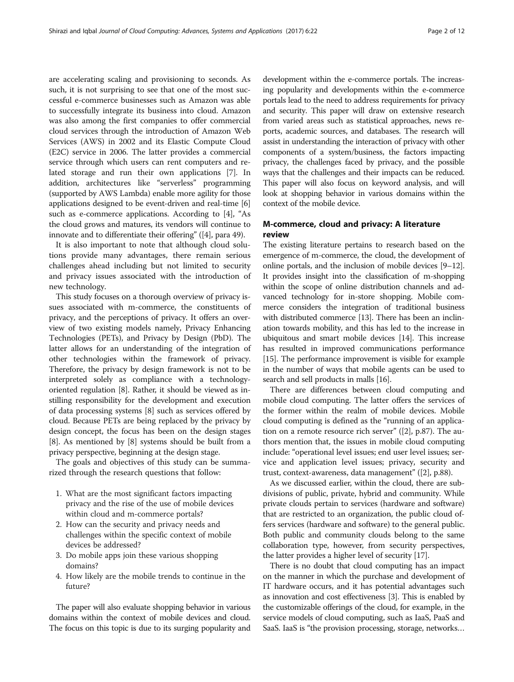are accelerating scaling and provisioning to seconds. As such, it is not surprising to see that one of the most successful e-commerce businesses such as Amazon was able to successfully integrate its business into cloud. Amazon was also among the first companies to offer commercial cloud services through the introduction of Amazon Web Services (AWS) in 2002 and its Elastic Compute Cloud (E2C) service in 2006. The latter provides a commercial service through which users can rent computers and related storage and run their own applications [\[7](#page-10-0)]. In addition, architectures like "serverless" programming (supported by AWS Lambda) enable more agility for those applications designed to be event-driven and real-time [[6](#page-10-0)] such as e-commerce applications. According to [\[4\]](#page-10-0), "As the cloud grows and matures, its vendors will continue to innovate and to differentiate their offering" ([[4\]](#page-10-0), para 49).

It is also important to note that although cloud solutions provide many advantages, there remain serious challenges ahead including but not limited to security and privacy issues associated with the introduction of new technology.

This study focuses on a thorough overview of privacy issues associated with m-commerce, the constituents of privacy, and the perceptions of privacy. It offers an overview of two existing models namely, Privacy Enhancing Technologies (PETs), and Privacy by Design (PbD). The latter allows for an understanding of the integration of other technologies within the framework of privacy. Therefore, the privacy by design framework is not to be interpreted solely as compliance with a technologyoriented regulation [\[8](#page-10-0)]. Rather, it should be viewed as instilling responsibility for the development and execution of data processing systems [[8\]](#page-10-0) such as services offered by cloud. Because PETs are being replaced by the privacy by design concept, the focus has been on the design stages [[8\]](#page-10-0). As mentioned by [\[8\]](#page-10-0) systems should be built from a privacy perspective, beginning at the design stage.

The goals and objectives of this study can be summarized through the research questions that follow:

- 1. What are the most significant factors impacting privacy and the rise of the use of mobile devices within cloud and m-commerce portals?
- 2. How can the security and privacy needs and challenges within the specific context of mobile devices be addressed?
- 3. Do mobile apps join these various shopping domains?
- 4. How likely are the mobile trends to continue in the future?

The paper will also evaluate shopping behavior in various domains within the context of mobile devices and cloud. The focus on this topic is due to its surging popularity and

development within the e-commerce portals. The increasing popularity and developments within the e-commerce portals lead to the need to address requirements for privacy and security. This paper will draw on extensive research from varied areas such as statistical approaches, news reports, academic sources, and databases. The research will assist in understanding the interaction of privacy with other components of a system/business, the factors impacting privacy, the challenges faced by privacy, and the possible ways that the challenges and their impacts can be reduced. This paper will also focus on keyword analysis, and will look at shopping behavior in various domains within the context of the mobile device.

## M-commerce, cloud and privacy: A literature review

The existing literature pertains to research based on the emergence of m-commerce, the cloud, the development of online portals, and the inclusion of mobile devices [\[9](#page-10-0)–[12](#page-10-0)]. It provides insight into the classification of m-shopping within the scope of online distribution channels and advanced technology for in-store shopping. Mobile commerce considers the integration of traditional business with distributed commerce [\[13\]](#page-10-0). There has been an inclination towards mobility, and this has led to the increase in ubiquitous and smart mobile devices [\[14\]](#page-10-0). This increase has resulted in improved communications performance [[15](#page-10-0)]. The performance improvement is visible for example in the number of ways that mobile agents can be used to search and sell products in malls [\[16\]](#page-10-0).

There are differences between cloud computing and mobile cloud computing. The latter offers the services of the former within the realm of mobile devices. Mobile cloud computing is defined as the "running of an application on a remote resource rich server" ([[2](#page-10-0)], p.87). The authors mention that, the issues in mobile cloud computing include: "operational level issues; end user level issues; service and application level issues; privacy, security and trust, context-awareness, data management" ([\[2\]](#page-10-0), p.88).

As we discussed earlier, within the cloud, there are subdivisions of public, private, hybrid and community. While private clouds pertain to services (hardware and software) that are restricted to an organization, the public cloud offers services (hardware and software) to the general public. Both public and community clouds belong to the same collaboration type, however, from security perspectives, the latter provides a higher level of security [[17](#page-10-0)].

There is no doubt that cloud computing has an impact on the manner in which the purchase and development of IT hardware occurs, and it has potential advantages such as innovation and cost effectiveness [\[3\]](#page-10-0). This is enabled by the customizable offerings of the cloud, for example, in the service models of cloud computing, such as IaaS, PaaS and SaaS. IaaS is "the provision processing, storage, networks…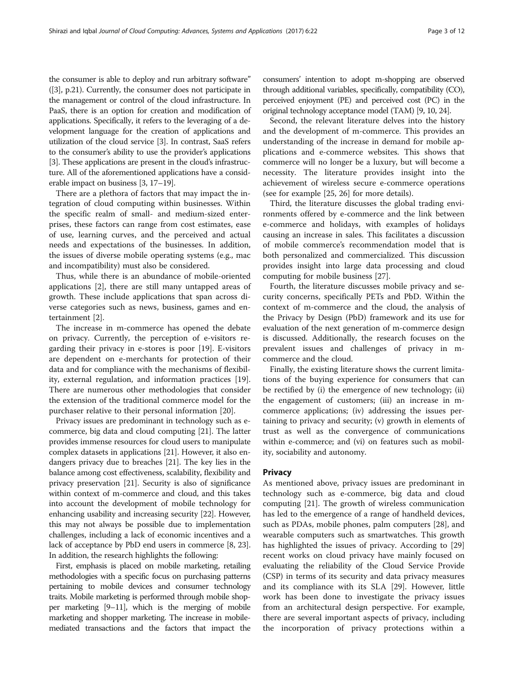the consumer is able to deploy and run arbitrary software" ([[3](#page-10-0)], p.21). Currently, the consumer does not participate in the management or control of the cloud infrastructure. In PaaS, there is an option for creation and modification of applications. Specifically, it refers to the leveraging of a development language for the creation of applications and utilization of the cloud service [[3\]](#page-10-0). In contrast, SaaS refers to the consumer's ability to use the provider's applications [[3](#page-10-0)]. These applications are present in the cloud's infrastructure. All of the aforementioned applications have a considerable impact on business [\[3, 17](#page-10-0)–[19](#page-10-0)].

There are a plethora of factors that may impact the integration of cloud computing within businesses. Within the specific realm of small- and medium-sized enterprises, these factors can range from cost estimates, ease of use, learning curves, and the perceived and actual needs and expectations of the businesses. In addition, the issues of diverse mobile operating systems (e.g., mac and incompatibility) must also be considered.

Thus, while there is an abundance of mobile-oriented applications [[2\]](#page-10-0), there are still many untapped areas of growth. These include applications that span across diverse categories such as news, business, games and entertainment [[2\]](#page-10-0).

The increase in m-commerce has opened the debate on privacy. Currently, the perception of e-visitors regarding their privacy in e-stores is poor [\[19\]](#page-10-0). E-visitors are dependent on e-merchants for protection of their data and for compliance with the mechanisms of flexibility, external regulation, and information practices [\[19](#page-10-0)]. There are numerous other methodologies that consider the extension of the traditional commerce model for the purchaser relative to their personal information [[20\]](#page-10-0).

Privacy issues are predominant in technology such as ecommerce, big data and cloud computing [\[21](#page-10-0)]. The latter provides immense resources for cloud users to manipulate complex datasets in applications [[21](#page-10-0)]. However, it also endangers privacy due to breaches [[21\]](#page-10-0). The key lies in the balance among cost effectiveness, scalability, flexibility and privacy preservation [\[21\]](#page-10-0). Security is also of significance within context of m-commerce and cloud, and this takes into account the development of mobile technology for enhancing usability and increasing security [\[22](#page-10-0)]. However, this may not always be possible due to implementation challenges, including a lack of economic incentives and a lack of acceptance by PbD end users in commerce [[8, 23](#page-10-0)]. In addition, the research highlights the following:

First, emphasis is placed on mobile marketing, retailing methodologies with a specific focus on purchasing patterns pertaining to mobile devices and consumer technology traits. Mobile marketing is performed through mobile shopper marketing [\[9](#page-10-0)–[11\]](#page-10-0), which is the merging of mobile marketing and shopper marketing. The increase in mobilemediated transactions and the factors that impact the consumers' intention to adopt m-shopping are observed through additional variables, specifically, compatibility (CO), perceived enjoyment (PE) and perceived cost (PC) in the original technology acceptance model (TAM) [[9](#page-10-0), [10](#page-10-0), [24](#page-10-0)].

Second, the relevant literature delves into the history and the development of m-commerce. This provides an understanding of the increase in demand for mobile applications and e-commerce websites. This shows that commerce will no longer be a luxury, but will become a necessity. The literature provides insight into the achievement of wireless secure e-commerce operations (see for example [\[25, 26\]](#page-10-0) for more details).

Third, the literature discusses the global trading environments offered by e-commerce and the link between e-commerce and holidays, with examples of holidays causing an increase in sales. This facilitates a discussion of mobile commerce's recommendation model that is both personalized and commercialized. This discussion provides insight into large data processing and cloud computing for mobile business [[27](#page-10-0)].

Fourth, the literature discusses mobile privacy and security concerns, specifically PETs and PbD. Within the context of m-commerce and the cloud, the analysis of the Privacy by Design (PbD) framework and its use for evaluation of the next generation of m-commerce design is discussed. Additionally, the research focuses on the prevalent issues and challenges of privacy in mcommerce and the cloud.

Finally, the existing literature shows the current limitations of the buying experience for consumers that can be rectified by (i) the emergence of new technology; (ii) the engagement of customers; (iii) an increase in mcommerce applications; (iv) addressing the issues pertaining to privacy and security; (v) growth in elements of trust as well as the convergence of communications within e-commerce; and (vi) on features such as mobility, sociability and autonomy.

## **Privacy**

As mentioned above, privacy issues are predominant in technology such as e-commerce, big data and cloud computing [[21](#page-10-0)]. The growth of wireless communication has led to the emergence of a range of handheld devices, such as PDAs, mobile phones, palm computers [\[28](#page-10-0)], and wearable computers such as smartwatches. This growth has highlighted the issues of privacy. According to [[29](#page-10-0)] recent works on cloud privacy have mainly focused on evaluating the reliability of the Cloud Service Provide (CSP) in terms of its security and data privacy measures and its compliance with its SLA [\[29](#page-10-0)]. However, little work has been done to investigate the privacy issues from an architectural design perspective. For example, there are several important aspects of privacy, including the incorporation of privacy protections within a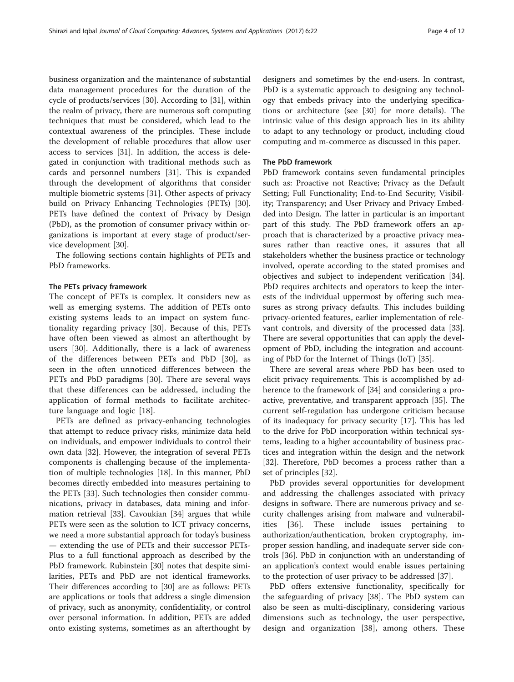business organization and the maintenance of substantial data management procedures for the duration of the cycle of products/services [\[30](#page-10-0)]. According to [[31](#page-10-0)], within the realm of privacy, there are numerous soft computing techniques that must be considered, which lead to the contextual awareness of the principles. These include the development of reliable procedures that allow user access to services [[31\]](#page-10-0). In addition, the access is delegated in conjunction with traditional methods such as cards and personnel numbers [[31\]](#page-10-0). This is expanded through the development of algorithms that consider multiple biometric systems [\[31\]](#page-10-0). Other aspects of privacy build on Privacy Enhancing Technologies (PETs) [\[30](#page-10-0)]. PETs have defined the context of Privacy by Design (PbD), as the promotion of consumer privacy within organizations is important at every stage of product/service development [\[30](#page-10-0)].

The following sections contain highlights of PETs and PbD frameworks.

## The PETs privacy framework

The concept of PETs is complex. It considers new as well as emerging systems. The addition of PETs onto existing systems leads to an impact on system functionality regarding privacy [[30](#page-10-0)]. Because of this, PETs have often been viewed as almost an afterthought by users [[30](#page-10-0)]. Additionally, there is a lack of awareness of the differences between PETs and PbD [\[30](#page-10-0)], as seen in the often unnoticed differences between the PETs and PbD paradigms [\[30](#page-10-0)]. There are several ways that these differences can be addressed, including the application of formal methods to facilitate architecture language and logic [\[18](#page-10-0)].

PETs are defined as privacy-enhancing technologies that attempt to reduce privacy risks, minimize data held on individuals, and empower individuals to control their own data [[32\]](#page-10-0). However, the integration of several PETs components is challenging because of the implementation of multiple technologies [\[18\]](#page-10-0). In this manner, PbD becomes directly embedded into measures pertaining to the PETs [[33\]](#page-10-0). Such technologies then consider communications, privacy in databases, data mining and information retrieval [[33](#page-10-0)]. Cavoukian [[34\]](#page-10-0) argues that while PETs were seen as the solution to ICT privacy concerns, we need a more substantial approach for today's business — extending the use of PETs and their successor PETs-Plus to a full functional approach as described by the PbD framework. Rubinstein [\[30](#page-10-0)] notes that despite similarities, PETs and PbD are not identical frameworks. Their differences according to [[30\]](#page-10-0) are as follows: PETs are applications or tools that address a single dimension of privacy, such as anonymity, confidentiality, or control over personal information. In addition, PETs are added onto existing systems, sometimes as an afterthought by

designers and sometimes by the end-users. In contrast, PbD is a systematic approach to designing any technology that embeds privacy into the underlying specifications or architecture (see [\[30](#page-10-0)] for more details). The intrinsic value of this design approach lies in its ability to adapt to any technology or product, including cloud computing and m-commerce as discussed in this paper.

## The PbD framework

PbD framework contains seven fundamental principles such as: Proactive not Reactive; Privacy as the Default Setting; Full Functionality; End-to-End Security; Visibility; Transparency; and User Privacy and Privacy Embedded into Design. The latter in particular is an important part of this study. The PbD framework offers an approach that is characterized by a proactive privacy measures rather than reactive ones, it assures that all stakeholders whether the business practice or technology involved, operate according to the stated promises and objectives and subject to independent verification [\[34](#page-10-0)]. PbD requires architects and operators to keep the interests of the individual uppermost by offering such measures as strong privacy defaults. This includes building privacy-oriented features, earlier implementation of relevant controls, and diversity of the processed data [\[33](#page-10-0)]. There are several opportunities that can apply the development of PbD, including the integration and accounting of PbD for the Internet of Things (IoT) [[35\]](#page-10-0).

There are several areas where PbD has been used to elicit privacy requirements. This is accomplished by adherence to the framework of [[34\]](#page-10-0) and considering a proactive, preventative, and transparent approach [[35](#page-10-0)]. The current self-regulation has undergone criticism because of its inadequacy for privacy security [[17](#page-10-0)]. This has led to the drive for PbD incorporation within technical systems, leading to a higher accountability of business practices and integration within the design and the network [[32\]](#page-10-0). Therefore, PbD becomes a process rather than a set of principles [[32\]](#page-10-0).

PbD provides several opportunities for development and addressing the challenges associated with privacy designs in software. There are numerous privacy and security challenges arising from malware and vulnerabilities [\[36](#page-10-0)]. These include issues pertaining to authorization/authentication, broken cryptography, improper session handling, and inadequate server side controls [[36\]](#page-10-0). PbD in conjunction with an understanding of an application's context would enable issues pertaining to the protection of user privacy to be addressed [\[37\]](#page-10-0).

PbD offers extensive functionality, specifically for the safeguarding of privacy [[38\]](#page-10-0). The PbD system can also be seen as multi-disciplinary, considering various dimensions such as technology, the user perspective, design and organization [[38\]](#page-10-0), among others. These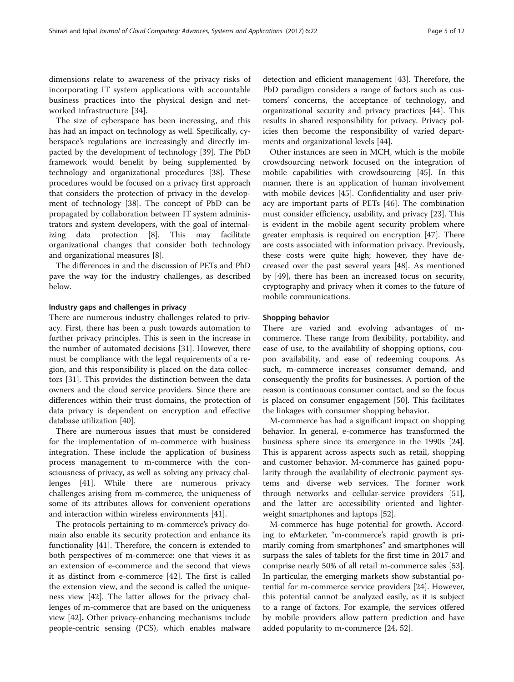dimensions relate to awareness of the privacy risks of incorporating IT system applications with accountable business practices into the physical design and networked infrastructure [[34\]](#page-10-0).

The size of cyberspace has been increasing, and this has had an impact on technology as well. Specifically, cyberspace's regulations are increasingly and directly impacted by the development of technology [[39\]](#page-10-0). The PbD framework would benefit by being supplemented by technology and organizational procedures [\[38](#page-10-0)]. These procedures would be focused on a privacy first approach that considers the protection of privacy in the development of technology [\[38](#page-10-0)]. The concept of PbD can be propagated by collaboration between IT system administrators and system developers, with the goal of internalizing data protection [[8\]](#page-10-0). This may facilitate organizational changes that consider both technology and organizational measures [[8\]](#page-10-0).

The differences in and the discussion of PETs and PbD pave the way for the industry challenges, as described below.

## Industry gaps and challenges in privacy

There are numerous industry challenges related to privacy. First, there has been a push towards automation to further privacy principles. This is seen in the increase in the number of automated decisions [[31\]](#page-10-0). However, there must be compliance with the legal requirements of a region, and this responsibility is placed on the data collectors [\[31\]](#page-10-0). This provides the distinction between the data owners and the cloud service providers. Since there are differences within their trust domains, the protection of data privacy is dependent on encryption and effective database utilization [[40\]](#page-10-0).

There are numerous issues that must be considered for the implementation of m-commerce with business integration. These include the application of business process management to m-commerce with the consciousness of privacy, as well as solving any privacy challenges [\[41](#page-10-0)]. While there are numerous privacy challenges arising from m-commerce, the uniqueness of some of its attributes allows for convenient operations and interaction within wireless environments [[41\]](#page-10-0).

The protocols pertaining to m-commerce's privacy domain also enable its security protection and enhance its functionality [[41](#page-10-0)]. Therefore, the concern is extended to both perspectives of m-commerce: one that views it as an extension of e-commerce and the second that views it as distinct from e-commerce [\[42\]](#page-10-0). The first is called the extension view, and the second is called the uniqueness view [\[42\]](#page-10-0). The latter allows for the privacy challenges of m-commerce that are based on the uniqueness view [[42\]](#page-10-0). Other privacy-enhancing mechanisms include people-centric sensing (PCS), which enables malware detection and efficient management [[43\]](#page-10-0). Therefore, the PbD paradigm considers a range of factors such as customers' concerns, the acceptance of technology, and organizational security and privacy practices [[44\]](#page-10-0). This results in shared responsibility for privacy. Privacy policies then become the responsibility of varied departments and organizational levels [[44\]](#page-10-0).

Other instances are seen in MCH, which is the mobile crowdsourcing network focused on the integration of mobile capabilities with crowdsourcing [\[45](#page-10-0)]. In this manner, there is an application of human involvement with mobile devices [\[45\]](#page-10-0). Confidentiality and user privacy are important parts of PETs [[46](#page-10-0)]. The combination must consider efficiency, usability, and privacy [\[23](#page-10-0)]. This is evident in the mobile agent security problem where greater emphasis is required on encryption [[47\]](#page-10-0). There are costs associated with information privacy. Previously, these costs were quite high; however, they have decreased over the past several years [\[48\]](#page-10-0). As mentioned by [[49](#page-11-0)], there has been an increased focus on security, cryptography and privacy when it comes to the future of mobile communications.

#### Shopping behavior

There are varied and evolving advantages of mcommerce. These range from flexibility, portability, and ease of use, to the availability of shopping options, coupon availability, and ease of redeeming coupons. As such, m-commerce increases consumer demand, and consequently the profits for businesses. A portion of the reason is continuous consumer contact, and so the focus is placed on consumer engagement [\[50](#page-11-0)]. This facilitates the linkages with consumer shopping behavior.

M-commerce has had a significant impact on shopping behavior. In general, e-commerce has transformed the business sphere since its emergence in the 1990s [\[24](#page-10-0)]. This is apparent across aspects such as retail, shopping and customer behavior. M-commerce has gained popularity through the availability of electronic payment systems and diverse web services. The former work through networks and cellular-service providers [\[51](#page-11-0)], and the latter are accessibility oriented and lighterweight smartphones and laptops [[52](#page-11-0)].

M-commerce has huge potential for growth. According to eMarketer, "m-commerce's rapid growth is primarily coming from smartphones" and smartphones will surpass the sales of tablets for the first time in 2017 and comprise nearly 50% of all retail m-commerce sales [\[53](#page-11-0)]. In particular, the emerging markets show substantial potential for m-commerce service providers [\[24\]](#page-10-0). However, this potential cannot be analyzed easily, as it is subject to a range of factors. For example, the services offered by mobile providers allow pattern prediction and have added popularity to m-commerce [\[24](#page-10-0), [52](#page-11-0)].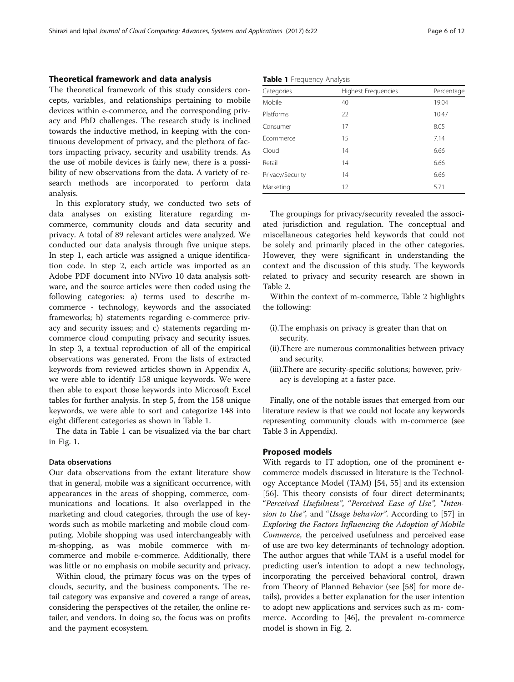## Theoretical framework and data analysis

The theoretical framework of this study considers concepts, variables, and relationships pertaining to mobile devices within e-commerce, and the corresponding privacy and PbD challenges. The research study is inclined towards the inductive method, in keeping with the continuous development of privacy, and the plethora of factors impacting privacy, security and usability trends. As the use of mobile devices is fairly new, there is a possibility of new observations from the data. A variety of research methods are incorporated to perform data analysis.

In this exploratory study, we conducted two sets of data analyses on existing literature regarding mcommerce, community clouds and data security and privacy. A total of 89 relevant articles were analyzed. We conducted our data analysis through five unique steps. In step 1, each article was assigned a unique identification code. In step 2, each article was imported as an Adobe PDF document into NVivo 10 data analysis software, and the source articles were then coded using the following categories: a) terms used to describe mcommerce - technology, keywords and the associated frameworks; b) statements regarding e-commerce privacy and security issues; and c) statements regarding mcommerce cloud computing privacy and security issues. In step 3, a textual reproduction of all of the empirical observations was generated. From the lists of extracted keywords from reviewed articles shown in Appendix A, we were able to identify 158 unique keywords. We were then able to export those keywords into Microsoft Excel tables for further analysis. In step 5, from the 158 unique keywords, we were able to sort and categorize 148 into eight different categories as shown in Table 1.

The data in Table 1 can be visualized via the bar chart in Fig. [1.](#page-6-0)

## Data observations

Our data observations from the extant literature show that in general, mobile was a significant occurrence, with appearances in the areas of shopping, commerce, communications and locations. It also overlapped in the marketing and cloud categories, through the use of keywords such as mobile marketing and mobile cloud computing. Mobile shopping was used interchangeably with m-shopping, as was mobile commerce with mcommerce and mobile e-commerce. Additionally, there was little or no emphasis on mobile security and privacy.

Within cloud, the primary focus was on the types of clouds, security, and the business components. The retail category was expansive and covered a range of areas, considering the perspectives of the retailer, the online retailer, and vendors. In doing so, the focus was on profits and the payment ecosystem.

Table 1 Frequency Analysis

| Categories       | Highest Frequencies | Percentage |
|------------------|---------------------|------------|
| Mobile           | 40                  | 19.04      |
| Platforms        | 22                  | 10.47      |
| Consumer         | 17                  | 8.05       |
| Frommerce        | 15                  | 7.14       |
| Cloud            | 14                  | 6.66       |
| Retail           | 14                  | 6.66       |
| Privacy/Security | 14                  | 6.66       |
| Marketing        | 12                  | 5.71       |

The groupings for privacy/security revealed the associated jurisdiction and regulation. The conceptual and miscellaneous categories held keywords that could not be solely and primarily placed in the other categories. However, they were significant in understanding the context and the discussion of this study. The keywords related to privacy and security research are shown in Table [2.](#page-7-0)

Within the context of m-commerce, Table [2](#page-7-0) highlights the following:

- (i).The emphasis on privacy is greater than that on security.
- (ii).There are numerous commonalities between privacy and security.
- (iii).There are security-specific solutions; however, privacy is developing at a faster pace.

Finally, one of the notable issues that emerged from our literature review is that we could not locate any keywords representing community clouds with m-commerce (see Table 3 in [Appendix\)](#page-9-0).

#### Proposed models

With regards to IT adoption, one of the prominent ecommerce models discussed in literature is the Technology Acceptance Model (TAM) [\[54, 55](#page-11-0)] and its extension [[56\]](#page-11-0). This theory consists of four direct determinants; "Perceived Usefulness", "Perceived Ease of Use", "Inten-sion to Use", and "Usage behavior". According to [\[57\]](#page-11-0) in Exploring the Factors Influencing the Adoption of Mobile Commerce, the perceived usefulness and perceived ease of use are two key determinants of technology adoption. The author argues that while TAM is a useful model for predicting user's intention to adopt a new technology, incorporating the perceived behavioral control, drawn from Theory of Planned Behavior (see [\[58](#page-11-0)] for more details), provides a better explanation for the user intention to adopt new applications and services such as m- commerce. According to [[46\]](#page-10-0), the prevalent m-commerce model is shown in Fig. [2](#page-7-0).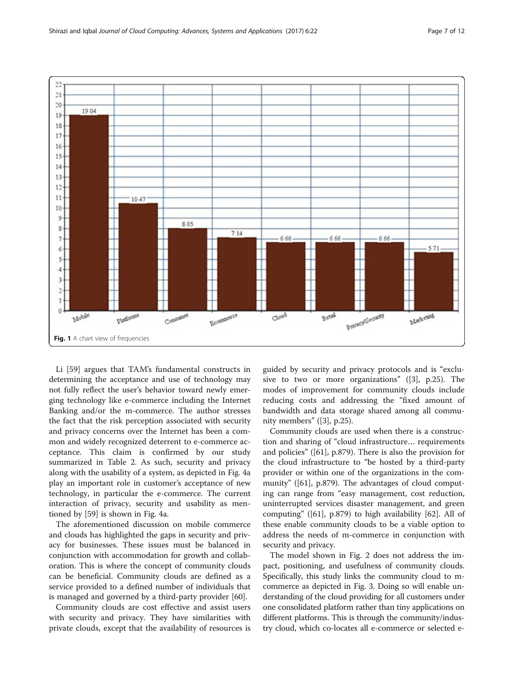<span id="page-6-0"></span>

Li [\[59](#page-11-0)] argues that TAM's fundamental constructs in determining the acceptance and use of technology may not fully reflect the user's behavior toward newly emerging technology like e-commerce including the Internet Banking and/or the m-commerce. The author stresses the fact that the risk perception associated with security and privacy concerns over the Internet has been a common and widely recognized deterrent to e-commerce acceptance. This claim is confirmed by our study summarized in Table [2](#page-7-0). As such, security and privacy along with the usability of a system, as depicted in Fig. [4a](#page-8-0) play an important role in customer's acceptance of new technology, in particular the e-commerce. The current interaction of privacy, security and usability as mentioned by [\[59\]](#page-11-0) is shown in Fig. [4a](#page-8-0).

The aforementioned discussion on mobile commerce and clouds has highlighted the gaps in security and privacy for businesses. These issues must be balanced in conjunction with accommodation for growth and collaboration. This is where the concept of community clouds can be beneficial. Community clouds are defined as a service provided to a defined number of individuals that is managed and governed by a third-party provider [[60](#page-11-0)].

Community clouds are cost effective and assist users with security and privacy. They have similarities with private clouds, except that the availability of resources is

guided by security and privacy protocols and is "exclusive to two or more organizations" ([[3\]](#page-10-0), p.25). The modes of improvement for community clouds include reducing costs and addressing the "fixed amount of bandwidth and data storage shared among all community members" ([[3\]](#page-10-0), p.25).

Community clouds are used when there is a construction and sharing of "cloud infrastructure… requirements and policies" ([\[61](#page-11-0)], p.879). There is also the provision for the cloud infrastructure to "be hosted by a third-party provider or within one of the organizations in the community" ([\[61](#page-11-0)], p.879). The advantages of cloud computing can range from "easy management, cost reduction, uninterrupted services disaster management, and green computing" ([[61\]](#page-11-0), p.879) to high availability [\[62](#page-11-0)]. All of these enable community clouds to be a viable option to address the needs of m-commerce in conjunction with security and privacy.

The model shown in Fig. [2](#page-7-0) does not address the impact, positioning, and usefulness of community clouds. Specifically, this study links the community cloud to mcommerce as depicted in Fig. [3](#page-8-0). Doing so will enable understanding of the cloud providing for all customers under one consolidated platform rather than tiny applications on different platforms. This is through the community/industry cloud, which co-locates all e-commerce or selected e-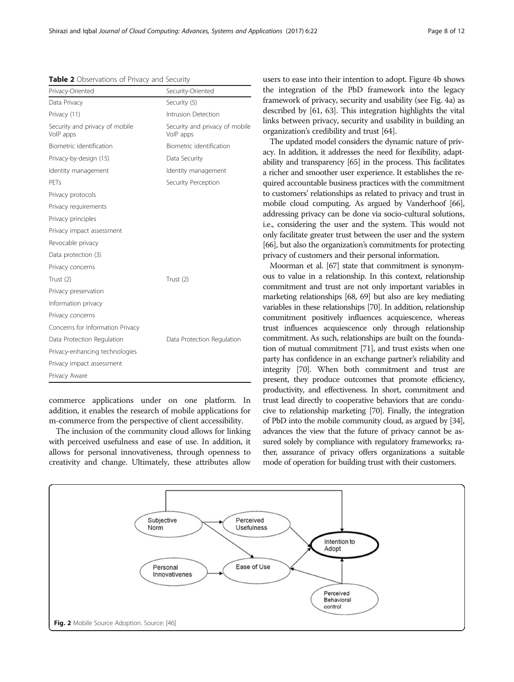<span id="page-7-0"></span>Table 2 Observations of Privacy and Security

| Privacy-Oriented                            | Security-Oriented                           |
|---------------------------------------------|---------------------------------------------|
| Data Privacy                                | Security (5)                                |
| Privacy (11)                                | Intrusion Detection                         |
| Security and privacy of mobile<br>VolP apps | Security and privacy of mobile<br>VolP apps |
| Biometric identification                    | Biometric identification                    |
| Privacy-by-design (15)                      | Data Security                               |
| Identity management                         | Identity management                         |
| PFTs                                        | Security Perception                         |
| Privacy protocols                           |                                             |
| Privacy requirements                        |                                             |
| Privacy principles                          |                                             |
| Privacy impact assessment                   |                                             |
| Revocable privacy                           |                                             |
| Data protection (3)                         |                                             |
| Privacy concerns                            |                                             |
| Trust (2)                                   | Trust (2)                                   |
| Privacy preservation                        |                                             |
| Information privacy                         |                                             |
| Privacy concerns                            |                                             |
| Concerns for Information Privacy            |                                             |
| Data Protection Regulation                  | Data Protection Regulation                  |
| Privacy-enhancing technologies              |                                             |
| Privacy impact assessment                   |                                             |
| Privacy Aware                               |                                             |

commerce applications under on one platform. In addition, it enables the research of mobile applications for m-commerce from the perspective of client accessibility.

The inclusion of the community cloud allows for linking with perceived usefulness and ease of use. In addition, it allows for personal innovativeness, through openness to creativity and change. Ultimately, these attributes allow users to ease into their intention to adopt. Figure [4b](#page-8-0) shows the integration of the PbD framework into the legacy framework of privacy, security and usability (see Fig. [4a\)](#page-8-0) as described by [[61](#page-11-0), [63\]](#page-11-0). This integration highlights the vital links between privacy, security and usability in building an organization's credibility and trust [\[64\]](#page-11-0).

The updated model considers the dynamic nature of privacy. In addition, it addresses the need for flexibility, adaptability and transparency [\[65\]](#page-11-0) in the process. This facilitates a richer and smoother user experience. It establishes the required accountable business practices with the commitment to customers' relationships as related to privacy and trust in mobile cloud computing. As argued by Vanderhoof [\[66](#page-11-0)], addressing privacy can be done via socio-cultural solutions, i.e., considering the user and the system. This would not only facilitate greater trust between the user and the system [[66](#page-11-0)], but also the organization's commitments for protecting privacy of customers and their personal information.

Moorman et al. [\[67](#page-11-0)] state that commitment is synonymous to value in a relationship. In this context, relationship commitment and trust are not only important variables in marketing relationships [[68, 69\]](#page-11-0) but also are key mediating variables in these relationships [\[70\]](#page-11-0). In addition, relationship commitment positively influences acquiescence, whereas trust influences acquiescence only through relationship commitment. As such, relationships are built on the foundation of mutual commitment [\[71\]](#page-11-0), and trust exists when one party has confidence in an exchange partner's reliability and integrity [\[70\]](#page-11-0). When both commitment and trust are present, they produce outcomes that promote efficiency, productivity, and effectiveness. In short, commitment and trust lead directly to cooperative behaviors that are conducive to relationship marketing [\[70](#page-11-0)]. Finally, the integration of PbD into the mobile community cloud, as argued by [\[34](#page-10-0)], advances the view that the future of privacy cannot be assured solely by compliance with regulatory frameworks; rather, assurance of privacy offers organizations a suitable mode of operation for building trust with their customers.

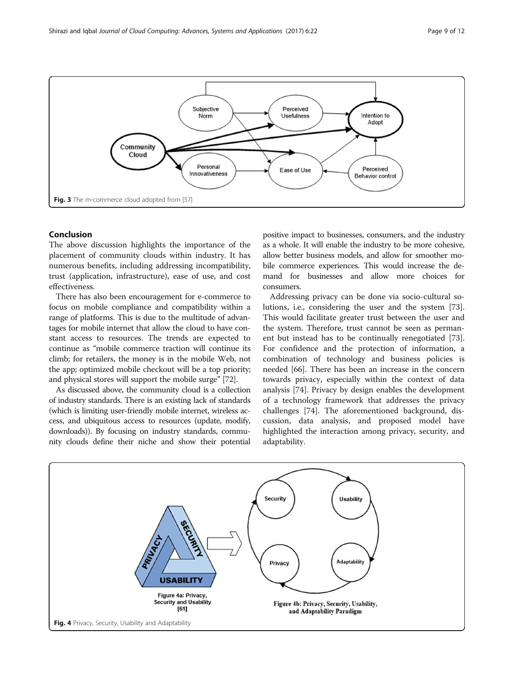<span id="page-8-0"></span>

## Conclusion

The above discussion highlights the importance of the placement of community clouds within industry. It has numerous benefits, including addressing incompatibility, trust (application, infrastructure), ease of use, and cost effectiveness.

There has also been encouragement for e-commerce to focus on mobile compliance and compatibility within a range of platforms. This is due to the multitude of advantages for mobile internet that allow the cloud to have constant access to resources. The trends are expected to continue as "mobile commerce traction will continue its climb; for retailers, the money is in the mobile Web, not the app; optimized mobile checkout will be a top priority; and physical stores will support the mobile surge" [[72\]](#page-11-0).

As discussed above, the community cloud is a collection of industry standards. There is an existing lack of standards (which is limiting user-friendly mobile internet, wireless access, and ubiquitous access to resources (update, modify, downloads)). By focusing on industry standards, community clouds define their niche and show their potential

positive impact to businesses, consumers, and the industry as a whole. It will enable the industry to be more cohesive, allow better business models, and allow for smoother mobile commerce experiences. This would increase the demand for businesses and allow more choices for consumers.

Addressing privacy can be done via socio-cultural solutions, i.e., considering the user and the system [\[73](#page-11-0)]. This would facilitate greater trust between the user and the system. Therefore, trust cannot be seen as permanent but instead has to be continually renegotiated [\[73](#page-11-0)]. For confidence and the protection of information, a combination of technology and business policies is needed [[66](#page-11-0)]. There has been an increase in the concern towards privacy, especially within the context of data analysis [[74](#page-11-0)]. Privacy by design enables the development of a technology framework that addresses the privacy challenges [\[74](#page-11-0)]. The aforementioned background, discussion, data analysis, and proposed model have highlighted the interaction among privacy, security, and adaptability.

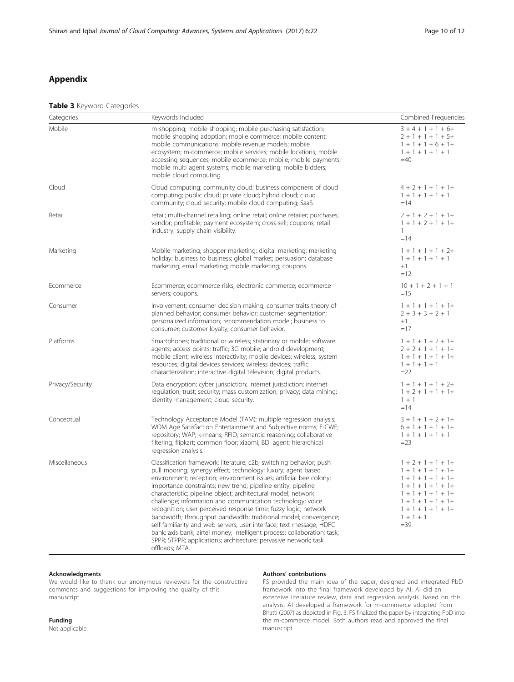## <span id="page-9-0"></span>Appendix

## Table 3 Keyword Categories

| Categories       | Keywords Included                                                                                                                                                                                                                                                                                                                                                                                                                                                                                                                                                                                                                                                                                                                                                                          | Combined Frequencies                                                                                                                                                                                |
|------------------|--------------------------------------------------------------------------------------------------------------------------------------------------------------------------------------------------------------------------------------------------------------------------------------------------------------------------------------------------------------------------------------------------------------------------------------------------------------------------------------------------------------------------------------------------------------------------------------------------------------------------------------------------------------------------------------------------------------------------------------------------------------------------------------------|-----------------------------------------------------------------------------------------------------------------------------------------------------------------------------------------------------|
| Mobile           | m-shopping; mobile shopping; mobile purchasing satisfaction;<br>mobile shopping adoption; mobile commerce; mobile content;<br>mobile communications; mobile revenue models; mobile<br>ecosystem; m-commerce; mobile services; mobile locations; mobile<br>accessing sequences; mobile ecommerce; mobile; mobile payments;<br>mobile multi agent systems; mobile marketing; mobile bidders;<br>mobile cloud computing.                                                                                                                                                                                                                                                                                                                                                                      | $3 + 4 + 1 + 1 + 6 +$<br>$2 + 1 + 1 + 1 + 5 +$<br>$1 + 1 + 1 + 6 + 1 +$<br>$1 + 1 + 1 + 1 + 1$<br>$=40$                                                                                             |
| Cloud            | Cloud computing; community cloud; business component of cloud<br>computing; public cloud; private cloud; hybrid cloud; cloud<br>community; cloud security; mobile cloud computing; SaaS.                                                                                                                                                                                                                                                                                                                                                                                                                                                                                                                                                                                                   | $4 + 2 + 1 + 1 + 1+$<br>$1 + 1 + 1 + 1 + 1$<br>$=14$                                                                                                                                                |
| Retail           | retail; multi-channel retailing; online retail; online retailer; purchases;<br>vendor; profitable; payment ecosystem; cross-sell; coupons; retail<br>industry; supply chain visibility.                                                                                                                                                                                                                                                                                                                                                                                                                                                                                                                                                                                                    | $2 + 1 + 2 + 1 + 1 +$<br>$1 + 1 + 2 + 1 + 1 +$<br>$\mathbf{1}$<br>$=14$                                                                                                                             |
| Marketing        | Mobile marketing; shopper marketing; digital marketing; marketing<br>holiday; business to business; global market; persuasion; database<br>marketing; email marketing; mobile marketing; coupons.                                                                                                                                                                                                                                                                                                                                                                                                                                                                                                                                                                                          | $1 + 1 + 1 + 1 + 2 +$<br>$1 + 1 + 1 + 1 + 1$<br>$+1$<br>$=12$                                                                                                                                       |
| Ecommerce        | Ecommerce; ecommerce risks; electronic commerce; ecommerce<br>servers; coupons.                                                                                                                                                                                                                                                                                                                                                                                                                                                                                                                                                                                                                                                                                                            | $10 + 1 + 2 + 1 + 1$<br>$=15$                                                                                                                                                                       |
| Consumer         | Involvement; consumer decision making; consumer traits theory of<br>planned behavior; consumer behavior; customer segmentation;<br>personalized information; recommendation model; business to<br>consumer; customer loyalty; consumer behavior.                                                                                                                                                                                                                                                                                                                                                                                                                                                                                                                                           | $1 + 1 + 1 + 1 + 1 +$<br>$2 + 3 + 3 + 2 + 1$<br>$+1$<br>$=17$                                                                                                                                       |
| Platforms        | Smartphones; traditional or wireless; stationary or mobile; software<br>agents; access points; traffic; 3G mobile; android development;<br>mobile client; wireless interactivity; mobile devices; wireless; system<br>resources; digital devices services; wireless devices; traffic<br>characterization; interactive digital television; digital products.                                                                                                                                                                                                                                                                                                                                                                                                                                | $1 + 1 + 1 + 2 + 1 +$<br>$2 + 2 + 1 + 1 + 1 +$<br>$1 + 1 + 1 + 1 + 1 +$<br>$1 + 1 + 1 + 1$<br>$=22$                                                                                                 |
| Privacy/Security | Data encryption; cyber jurisdiction; internet jurisdiction; internet<br>regulation; trust; security; mass customization; privacy; data mining;<br>identity management; cloud security.                                                                                                                                                                                                                                                                                                                                                                                                                                                                                                                                                                                                     | $1 + 1 + 1 + 1 + 2 +$<br>$1 + 2 + 1 + 1 + 1 +$<br>$1 + 1$<br>$=14$                                                                                                                                  |
| Conceptual       | Technology Acceptance Model (TAM); multiple regression analysis;<br>WOM Age Satisfaction Entertainment and Subjective norms; E-CWE;<br>repository; WAP; k-means; RFID; semantic reasoning; collaborative<br>filtering; flipkart; common floor; xiaomi; BDI agent; hierarchical<br>regression analysis.                                                                                                                                                                                                                                                                                                                                                                                                                                                                                     | $3 + 1 + 1 + 2 + 1 +$<br>$6 + 1 + 1 + 1 + 1 +$<br>$1 + 1 + 1 + 1 + 1$<br>$= 23$                                                                                                                     |
| Miscellaneous    | Classification framework; literature; c2b; switching behavior; push<br>pull mooring; synergy effect; technology; luxury; agent based<br>environment; reception; environment issues; artificial bee colony;<br>importance constraints; new trend; pipeline entity; pipeline<br>characteristic; pipeline object; architectural model; network<br>challenge; information and communication technology; voice<br>recognition; user perceived response time; fuzzy logic; network<br>bandwidth; throughput bandwidth; traditional model; convergence;<br>self-familiarity and web servers; user interface; text message; HDFC<br>bank; axis bank; airtel money; intelligent process; collaboration; task;<br>SPPR; STPPR; applications; architecture; pervasive network; task<br>offloads; MTA. | $1 + 2 + 1 + 1 + 1 +$<br>$1 + 1 + 1 + 1 + 1 +$<br>$1 + 1 + 1 + 1 + 1 +$<br>$1 + 1 + 1 + 1 + 1 +$<br>$1 + 1 + 1 + 1 + 1 +$<br>$1 + 1 + 1 + 1 + 1 +$<br>$1 + 1 + 1 + 1 + 1 +$<br>$1 + 1 + 1$<br>$=39$ |

## Acknowledgments

We would like to thank our anonymous reviewers for the constructive comments and suggestions for improving the quality of this manuscript.

#### Authors' contributions

FS provided the main idea of the paper, designed and integrated PbD framework into the final framework developed by AI. AI did an extensive literature review, data and regression analysis. Based on this analysis, AI developed a framework for m-commerce adopted from Bhatti (2007) as depicted in Fig. [3.](#page-8-0) FS finalized the paper by integrating PbD into the m-commerce model. Both authors read and approved the final manuscript.

Funding Not applicable.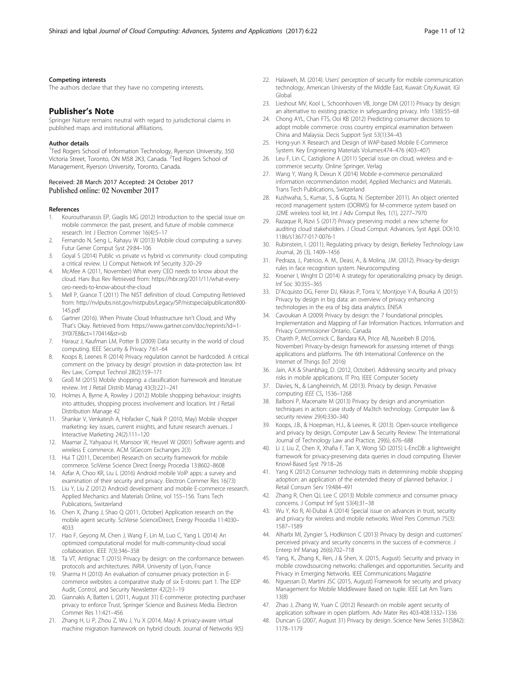#### <span id="page-10-0"></span>Competing interests

The authors declare that they have no competing interests.

## Publisher's Note

Springer Nature remains neutral with regard to jurisdictional claims in published maps and institutional affiliations.

#### Author details

<sup>1</sup>Ted Rogers School of Information Technology, Ryerson University, 350 Victoria Street, Toronto, ON M58 2K3, Canada. <sup>2</sup>Ted Rogers School of Management, Ryerson University, Toronto, Canada.

#### Received: 28 March 2017 Accepted: 24 October 2017 Published online: 02 November 2017

#### References

- 1. Kourouthanassis EP, Giaglis MG (2012) Introduction to the special issue on mobile commerce: the past, present, and future of mobile commerce research. Int J Electron Commer 16(4):5–17
- 2. Fernando N, Seng L, Rahayu W (2013) Mobile cloud computing: a survey. Futur Gener Comput Syst 29:84–106
- 3. Goyal S (2014) Public vs private vs hybrid vs community- cloud computing: a critical review. I.J Comput Network Inf Security 3:20–29
- 4. McAfee A (2011, November) What every CEO needs to know about the cloud. Harv Bus Rev Retrieved from: [https://hbr.org/2011/11/what-every](https://hbr.org/2011/11/what-every-ceo-needs-to-know-about-the-cloud)[ceo-needs-to-know-about-the-cloud](https://hbr.org/2011/11/what-every-ceo-needs-to-know-about-the-cloud)
- 5. Mell P, Grance T (2011) The NIST definition of cloud. Computing Retrieved from: [http://nvlpubs.nist.gov/nistpubs/Legacy/SP/nistspecialpublication800-](http://nvlpubs.nist.gov/nistpubs/Legacy/SP/nistspecialpublication800-145.pdf) [145.pdf](http://nvlpubs.nist.gov/nistpubs/Legacy/SP/nistspecialpublication800-145.pdf)
- 6. Gartner (2016). When Private Cloud Infrastructure Isn't Cloud, and Why That's Okay. Retrieved from: [https://www.gartner.com/doc/reprints?id=1-](https://www.gartner.com/doc/reprints?id=1-3Y0I7E8&ct=170414&st=sb) [3Y0I7E8&ct=170414&st=sb](https://www.gartner.com/doc/reprints?id=1-3Y0I7E8&ct=170414&st=sb)
- 7. Harauz J, Kaufman LM, Potter B (2009) Data security in the world of cloud computing. IEEE Security & Privacy 7:61–64
- 8. Koops B, Leenes R (2014) Privacy regulation cannot be hardcoded. A critical comment on the 'privacy by design' provision in data-protection law. Int Rev Law, Comput Technol 28(2):159–171
- 9. Groß M (2015) Mobile shopping: a classification framework and literature review. Int J Retail Distrib Manag 43(3):221–241
- 10. Holmes A, Byrne A, Rowley J (2012) Mobile shopping behaviour: insights into attitudes, shopping process involvement and location. Int J Retail Distribution Manage 42
- 11. Shankar V, Venkatesh A, Hofacker C, Naik P (2010, May) Mobile shopper marketing: key issues, current insights, and future research avenues. J Interactive Marketing 24(2):111–120
- 12. Maamar Z, Yahyaoui H, Mansoor W, Heuvel W (2001) Software agents and wireless E commerce. ACM SIGecom Exchanges 2(3)
- 13. Hui T (2011, December) Research on security framework for mobile commerce. SciVerse Science Direct Energy Procedia 13:8602–8608
- 14. Azfar A, Choo KR, Liu L (2016) Android mobile VoIP apps: a survey and examination of their security and privacy. Electron Commer Res 16(73)
- 15. Liu Y, Liu Z (2012) Android development and mobile E-commerce research. Applied Mechanics and Materials Online, vol 155–156. Trans Tech Publications, Switzerland
- 16. Chen X, Zhang J, Shao Q (2011, October) Application research on the mobile agent security. SciVerse ScienceDirect, Energy Procedia 11:4030– 4033
- 17. Hao F, Geyong M, Chen J, Wang F, Lin M, Luo C, Yang L (2014) An optimized computational model for multi-community-cloud social collaboration. IEEE 7(3):346–358
- 18. Ta VT, Antignac T (2015) Privacy by design: on the conformance between protocols and architectures. INRIA. University of Lyon, France
- 19. Sharma H (2010) An evaluation of consumer privacy protection in Ecommerce websites: a comparative study of six E-stores: part 1. The EDP Audit, Control, and Security Newsletter 42(2):1–19
- 20. Giannakis A, Batten L (2011, August 31) E-commerce: protecting purchaser privacy to enforce Trust, Springer Science and Business Media. Electron Commer Res 11:421–456
- 21. Zhang H, Li P, Zhou Z, Wu J, Yu X (2014, May) A privacy-aware virtual machine migration framework on hybrid clouds. Journal of Networks 9(5)
- 22. Halaweh, M. (2014). Users' perception of security for mobile communication technology, American University of the Middle East, Kuwait City,Kuwait. IGI Globa
- 23. Lieshout MV, Kool L, Schoonhoven VB, Jonge DM (2011) Privacy by design: an alternative to existing practice in safeguarding privacy. Info 13(6):55–68
- 24. Chong AYL, Chan FTS, Ooi KB (2012) Predicting consumer decisions to adopt mobile commerce: cross country empirical examination between China and Malaysia. Decis Support Syst 53(1):34–43
- 25. Hong-yun X Research and Design of WAP-based Mobile E-Commerce System. Key Engineering Materials Volumes:474–476 (403–407)
- 26. Leu F, Lin C, Castiglione A (2011) Special issue on cloud, wireless and ecommerce security. Online Springer, Verlag
- 27. Wang Y, Wang R, Dexun X (2014) Mobile e-commerce personalized information recommendation model, Applied Mechanics and Materials. Trans Tech Publications, Switzerland
- 28. Kushwaha, S., Kumar, S., & Gupta, N. (September 2011). An object oriented record management system (OORMS) for M-commerce system based on J2ME wireless tool kit, Int J Adv Comput Res, 1(1), 2277–7970
- 29. Razaque R, Rizvi S (2017) Privacy preserving model: a new scheme for auditing cloud stakeholders. J Cloud Comput: Advances, Syst Appl. DOI:[10.](http://dx.doi.org/10.1186/s13677-017-0076-1) [1186/s13677-017-0076-1](http://dx.doi.org/10.1186/s13677-017-0076-1)
- 30. Rubinstein, I. (2011). Regulating privacy by design, Berkeley Technology Law Journal, 26 (3), 1409–1456
- 31. Pedraza, J., Patricio, A. M., Deasi, A., & Molina, J.M. (2012). Privacy-by-design rules in face recognition system. Neurocomputing
- 32. Kroener I, Wright D (2014) A strategy for operationalizing privacy by design. Inf Soc 30:355–365
- 33. D'Acquisto DG, Ferrer DJ, Kikiras P, Torra V, Montjoye Y-A, Bourka A (2015) Privacy by design in big data: an overview of privacy enhancing technologies in the era of big data analytics. ENISA
- 34. Cavoukian A (2009) Privacy by design: the 7 foundational principles. Implementation and Mapping of Fair Information Practices. Information and Privacy Commissioner Ontario, Canada
- 35. Charith P, McCormick C, Bandara KA, Price AB, Nuseibeh B (2016, November) Privacy-by-design framework for assessing internet of things applications and platforms. The 6th International Conference on the Internet of Things (IoT 2016)
- 36. Jain, A.K & Shanbhag, D. (2012, October). Addressing security and privacy risks in mobile applications. IT Pro, IEEE Computer Society
- 37. Davies, N., & Langheinrich, M. (2013). Privacy by design. Pervasive computing IEEE CS, 1536-1268
- 38. Balboni P, Macenaite M (2013) Privacy by design and anonymisation techniques in action: case study of Ma3tch technology. Computer law & security review 29(4):330–340
- 39. Koops, J.B., & Hoepman, H.J., & Leenes, R. (2013). Open-source intelligence and privacy by design, Computer Law & Security Review: The International Journal of Technology Law and Practice, 29(6), 676–688
- 40. Li J, Liu Z, Chen X, Xhafia F, Tan X, Wong SD (2015) L-EncDB: a lightweight framework for privacy-preserving data queries in cloud computing. Elsevier Knowl-Based Syst 79:18–26
- 41. Yang K (2012) Consumer technology traits in determining mobile shopping adoption: an application of the extended theory of planned behavior. J Retail Consum Serv 19:484–491
- 42. Zhang R, Chen QJ, Lee C (2013) Mobile commerce and consumer privacy concerns. J Comput Inf Syst 53(4):31–38
- 43. Wu Y, Ko R, Al-Dubai A (2014) Special issue on advances in trust, security and privacy for wireless and mobile networks. Wirel Pers Commun 75(3): 1587–1589
- 44. Alharbi MI, Zyngier S, Hodkinson C (2013) Privacy by design and customers' perceived privacy and security concerns in the success of e-commerce. J Enterp Inf Manag 26(6):702–718
- 45. Yang, K., Zhang K., Ren, J & Shen, X. (2015, August). Security and privacy in mobile crowdsourcing networks: challenges and opportunities. Security and Privacy in Emerging Networks. IEEE Communications Magazine
- 46. Nguessan D, Martini JSC (2015, August) Framework for security and privacy Management for Mobile Middleware Based on tuple. IEEE Lat Am Trans 13(8)
- 47. Zhao J, Zhang W, Yuan C (2012) Research on mobile agent security of application software in open platform. Adv Mater Res 403-408:1332–1336
- 48. Duncan G (2007, August 31) Privacy by design. Science New Series 31(5842): 1178–1179